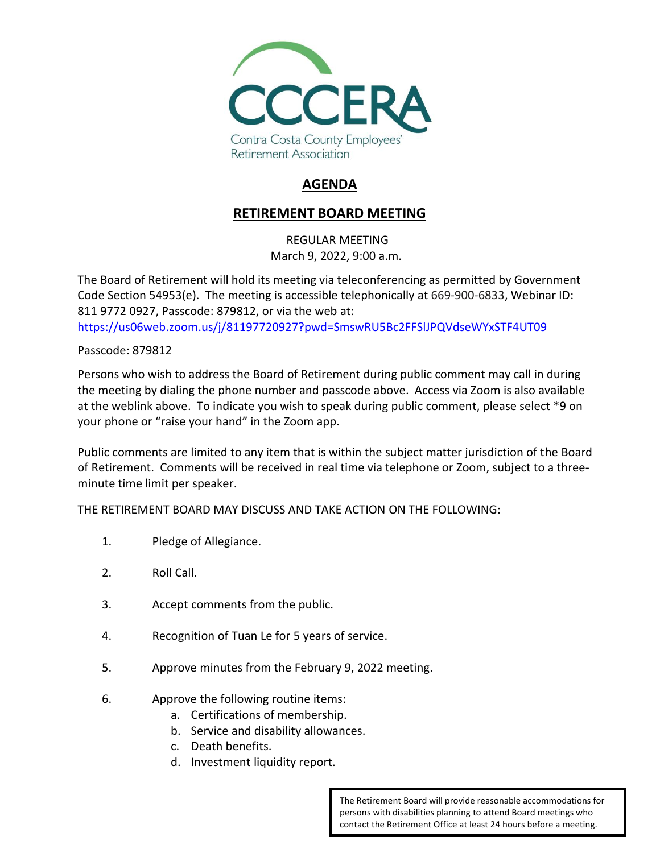

## **AGENDA**

## **RETIREMENT BOARD MEETING**

REGULAR MEETING March 9, 2022, 9:00 a.m.

The Board of Retirement will hold its meeting via teleconferencing as permitted by Government Code Section 54953(e). The meeting is accessible telephonically at 669-900-6833, Webinar ID: 811 9772 0927, Passcode: 879812, or via the web at: <https://us06web.zoom.us/j/81197720927?pwd=SmswRU5Bc2FFSlJPQVdseWYxSTF4UT09>

Passcode: 879812

Persons who wish to address the Board of Retirement during public comment may call in during the meeting by dialing the phone number and passcode above. Access via Zoom is also available at the weblink above. To indicate you wish to speak during public comment, please select \*9 on your phone or "raise your hand" in the Zoom app.

Public comments are limited to any item that is within the subject matter jurisdiction of the Board of Retirement. Comments will be received in real time via telephone or Zoom, subject to a threeminute time limit per speaker.

THE RETIREMENT BOARD MAY DISCUSS AND TAKE ACTION ON THE FOLLOWING:

- 1. Pledge of Allegiance.
- 2. Roll Call.
- 3. Accept comments from the public.
- 4. Recognition of Tuan Le for 5 years of service.
- 5. Approve minutes from the February 9, 2022 meeting.
- 6. Approve the following routine items:
	- a. Certifications of membership.
	- b. Service and disability allowances.
	- c. Death benefits.
	- d. Investment liquidity report.

The Retirement Board will provide reasonable accommodations for persons with disabilities planning to attend Board meetings who contact the Retirement Office at least 24 hours before a meeting.